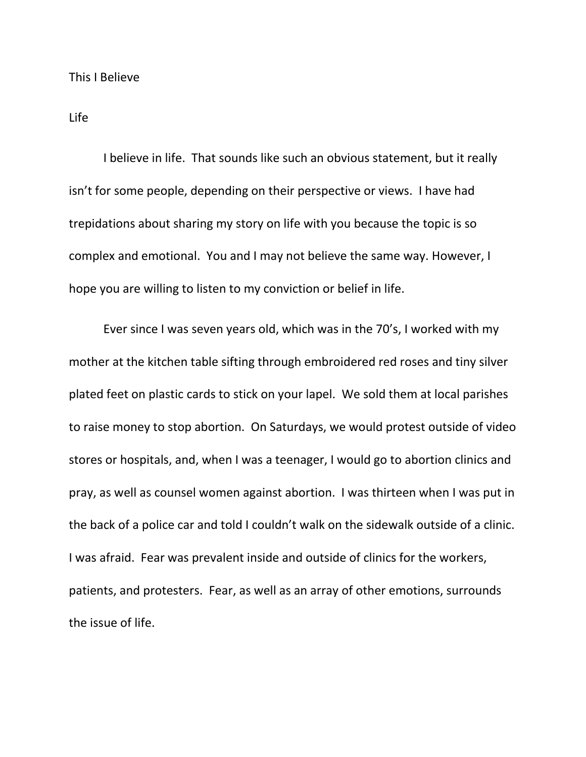## Life

I believe in life. That sounds like such an obvious statement, but it really isn't for some people, depending on their perspective or views. I have had trepidations about sharing my story on life with you because the topic is so complex and emotional. You and I may not believe the same way. However, I hope you are willing to listen to my conviction or belief in life.

Ever since I was seven years old, which was in the 70's, I worked with my mother at the kitchen table sifting through embroidered red roses and tiny silver plated feet on plastic cards to stick on your lapel. We sold them at local parishes to raise money to stop abortion. On Saturdays, we would protest outside of video stores or hospitals, and, when I was a teenager, I would go to abortion clinics and pray, as well as counsel women against abortion. I was thirteen when I was put in the back of a police car and told I couldn't walk on the sidewalk outside of a clinic. I was afraid. Fear was prevalent inside and outside of clinics for the workers, patients, and protesters. Fear, as well as an array of other emotions, surrounds the issue of life.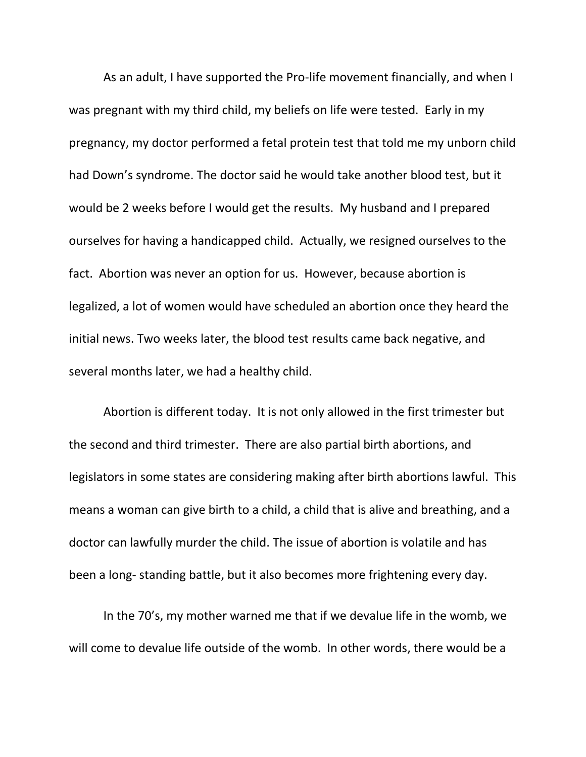As an adult, I have supported the Pro-life movement financially, and when I was pregnant with my third child, my beliefs on life were tested. Early in my pregnancy, my doctor performed a fetal protein test that told me my unborn child had Down's syndrome. The doctor said he would take another blood test, but it would be 2 weeks before I would get the results. My husband and I prepared ourselves for having a handicapped child. Actually, we resigned ourselves to the fact. Abortion was never an option for us. However, because abortion is legalized, a lot of women would have scheduled an abortion once they heard the initial news. Two weeks later, the blood test results came back negative, and several months later, we had a healthy child.

Abortion is different today. It is not only allowed in the first trimester but the second and third trimester. There are also partial birth abortions, and legislators in some states are considering making after birth abortions lawful. This means a woman can give birth to a child, a child that is alive and breathing, and a doctor can lawfully murder the child. The issue of abortion is volatile and has been a long- standing battle, but it also becomes more frightening every day.

In the 70's, my mother warned me that if we devalue life in the womb, we will come to devalue life outside of the womb. In other words, there would be a